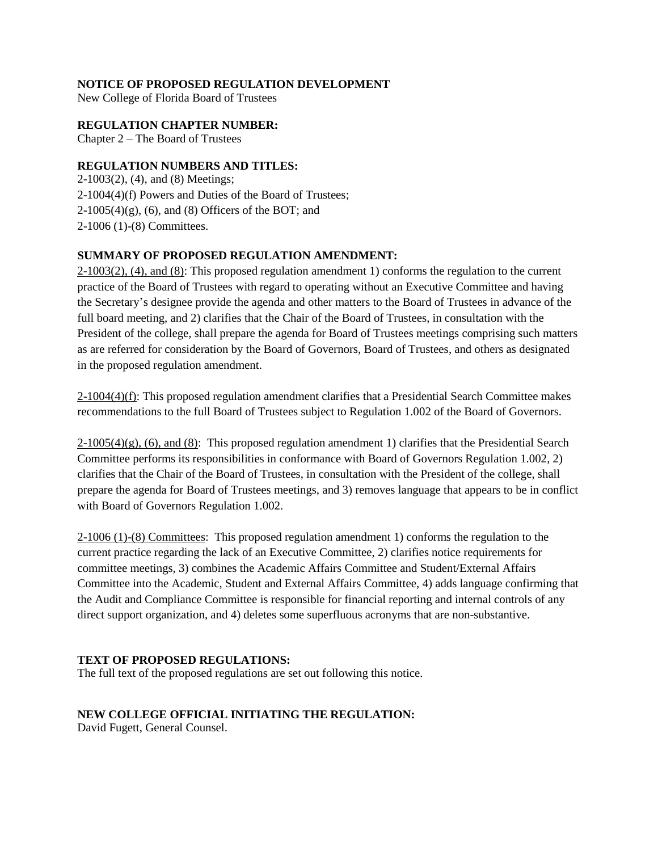# **NOTICE OF PROPOSED REGULATION DEVELOPMENT**

New College of Florida Board of Trustees

## **REGULATION CHAPTER NUMBER:**

Chapter 2 – The Board of Trustees

## **REGULATION NUMBERS AND TITLES:**

2-1003(2), (4), and (8) Meetings; 2-1004(4)(f) Powers and Duties of the Board of Trustees;  $2-1005(4)(g)$ , (6), and (8) Officers of the BOT; and 2-1006 (1)-(8) Committees.

## **SUMMARY OF PROPOSED REGULATION AMENDMENT:**

 $2\n-1003(2)$ , (4), and (8): This proposed regulation amendment 1) conforms the regulation to the current practice of the Board of Trustees with regard to operating without an Executive Committee and having the Secretary's designee provide the agenda and other matters to the Board of Trustees in advance of the full board meeting, and 2) clarifies that the Chair of the Board of Trustees, in consultation with the President of the college, shall prepare the agenda for Board of Trustees meetings comprising such matters as are referred for consideration by the Board of Governors, Board of Trustees, and others as designated in the proposed regulation amendment.

2-1004(4)(f): This proposed regulation amendment clarifies that a Presidential Search Committee makes recommendations to the full Board of Trustees subject to Regulation 1.002 of the Board of Governors.

 $2-1005(4)(g)$ , (6), and (8): This proposed regulation amendment 1) clarifies that the Presidential Search Committee performs its responsibilities in conformance with Board of Governors Regulation 1.002, 2) clarifies that the Chair of the Board of Trustees, in consultation with the President of the college, shall prepare the agenda for Board of Trustees meetings, and 3) removes language that appears to be in conflict with Board of Governors Regulation 1.002.

2-1006 (1)-(8) Committees: This proposed regulation amendment 1) conforms the regulation to the current practice regarding the lack of an Executive Committee, 2) clarifies notice requirements for committee meetings, 3) combines the Academic Affairs Committee and Student/External Affairs Committee into the Academic, Student and External Affairs Committee, 4) adds language confirming that the Audit and Compliance Committee is responsible for financial reporting and internal controls of any direct support organization, and 4) deletes some superfluous acronyms that are non-substantive.

## **TEXT OF PROPOSED REGULATIONS:**

The full text of the proposed regulations are set out following this notice.

# **NEW COLLEGE OFFICIAL INITIATING THE REGULATION:**

David Fugett, General Counsel.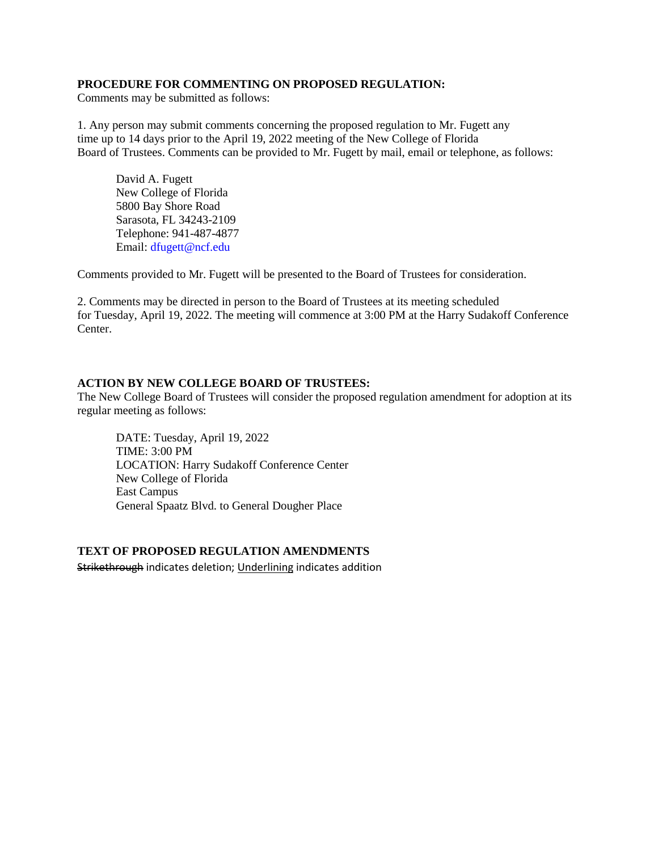## **PROCEDURE FOR COMMENTING ON PROPOSED REGULATION:**

Comments may be submitted as follows:

1. Any person may submit comments concerning the proposed regulation to Mr. Fugett any time up to 14 days prior to the April 19, 2022 meeting of the New College of Florida Board of Trustees. Comments can be provided to Mr. Fugett by mail, email or telephone, as follows:

David A. Fugett New College of Florida 5800 Bay Shore Road Sarasota, FL 34243-2109 Telephone: 941-487-4877 Email: dfugett@ncf.edu

Comments provided to Mr. Fugett will be presented to the Board of Trustees for consideration.

2. Comments may be directed in person to the Board of Trustees at its meeting scheduled for Tuesday, April 19, 2022. The meeting will commence at 3:00 PM at the Harry Sudakoff Conference Center.

### **ACTION BY NEW COLLEGE BOARD OF TRUSTEES:**

The New College Board of Trustees will consider the proposed regulation amendment for adoption at its regular meeting as follows:

DATE: Tuesday, April 19, 2022 TIME: 3:00 PM LOCATION: Harry Sudakoff Conference Center New College of Florida East Campus General Spaatz Blvd. to General Dougher Place

### **TEXT OF PROPOSED REGULATION AMENDMENTS**

Strikethrough indicates deletion; Underlining indicates addition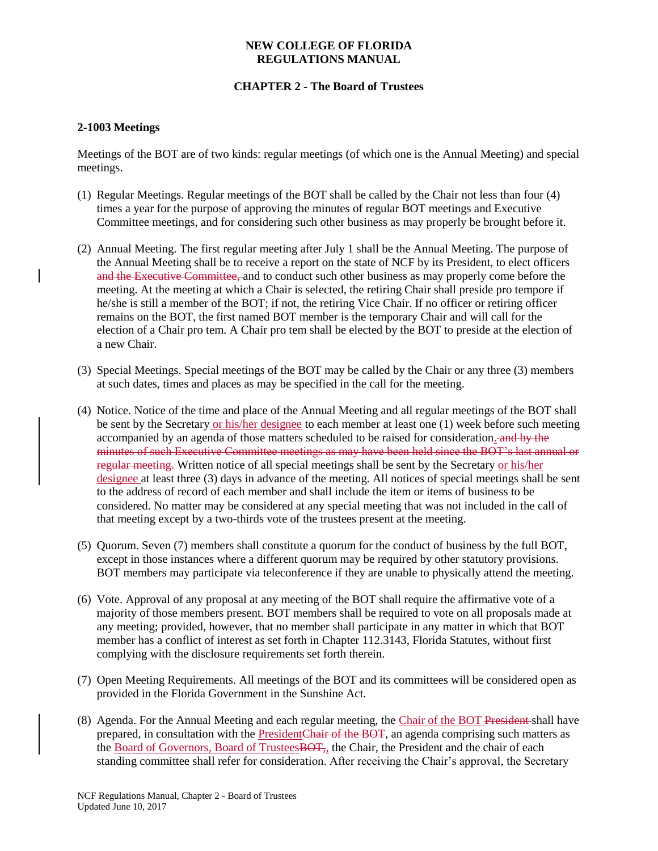## **CHAPTER 2 - The Board of Trustees**

## **2-1003 Meetings**

Meetings of the BOT are of two kinds: regular meetings (of which one is the Annual Meeting) and special meetings.

- (1) Regular Meetings. Regular meetings of the BOT shall be called by the Chair not less than four (4) times a year for the purpose of approving the minutes of regular BOT meetings and Executive Committee meetings, and for considering such other business as may properly be brought before it.
- (2) Annual Meeting. The first regular meeting after July 1 shall be the Annual Meeting. The purpose of the Annual Meeting shall be to receive a report on the state of NCF by its President, to elect officers and the Executive Committee, and to conduct such other business as may properly come before the meeting. At the meeting at which a Chair is selected, the retiring Chair shall preside pro tempore if he/she is still a member of the BOT; if not, the retiring Vice Chair. If no officer or retiring officer remains on the BOT, the first named BOT member is the temporary Chair and will call for the election of a Chair pro tem. A Chair pro tem shall be elected by the BOT to preside at the election of a new Chair.
- (3) Special Meetings. Special meetings of the BOT may be called by the Chair or any three (3) members at such dates, times and places as may be specified in the call for the meeting.
- (4) Notice. Notice of the time and place of the Annual Meeting and all regular meetings of the BOT shall be sent by the Secretary or his/her designee to each member at least one (1) week before such meeting accompanied by an agenda of those matters scheduled to be raised for consideration. and by the minutes of such Executive Committee meetings as may have been held since the BOT's last annual or regular meeting. Written notice of all special meetings shall be sent by the Secretary or his/her designee at least three (3) days in advance of the meeting. All notices of special meetings shall be sent to the address of record of each member and shall include the item or items of business to be considered. No matter may be considered at any special meeting that was not included in the call of that meeting except by a two-thirds vote of the trustees present at the meeting.
- (5) Quorum. Seven (7) members shall constitute a quorum for the conduct of business by the full BOT, except in those instances where a different quorum may be required by other statutory provisions. BOT members may participate via teleconference if they are unable to physically attend the meeting.
- (6) Vote. Approval of any proposal at any meeting of the BOT shall require the affirmative vote of a majority of those members present. BOT members shall be required to vote on all proposals made at any meeting; provided, however, that no member shall participate in any matter in which that BOT member has a conflict of interest as set forth in Chapter 112.3143, Florida Statutes, without first complying with the disclosure requirements set forth therein.
- (7) Open Meeting Requirements. All meetings of the BOT and its committees will be considered open as provided in the Florida Government in the Sunshine Act.
- (8) Agenda. For the Annual Meeting and each regular meeting, the Chair of the BOT President shall have prepared, in consultation with the PresidentChair of the BOT, an agenda comprising such matters as the Board of Governors, Board of TrusteesBOT, the Chair, the President and the chair of each standing committee shall refer for consideration. After receiving the Chair's approval, the Secretary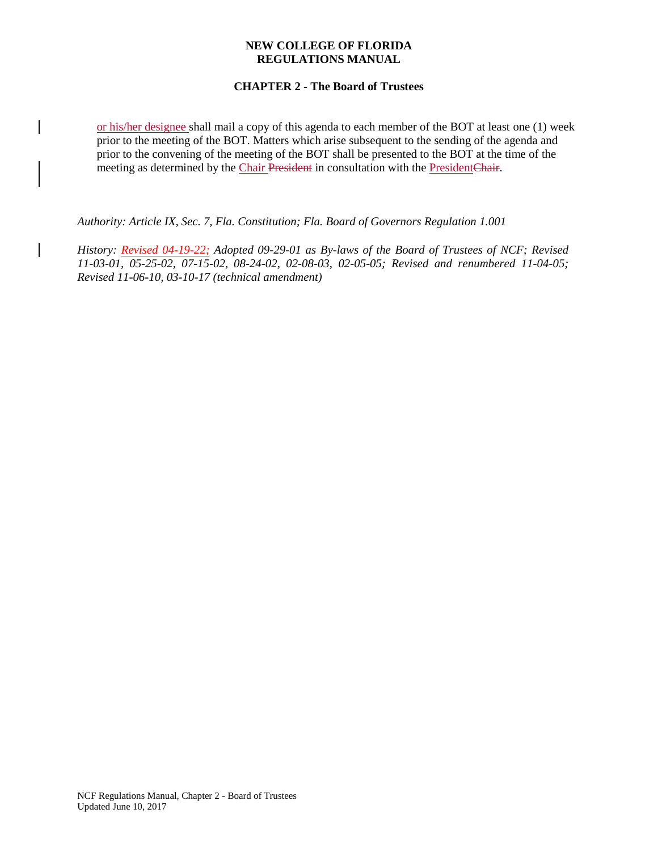## **CHAPTER 2 - The Board of Trustees**

or his/her designee shall mail a copy of this agenda to each member of the BOT at least one (1) week prior to the meeting of the BOT. Matters which arise subsequent to the sending of the agenda and prior to the convening of the meeting of the BOT shall be presented to the BOT at the time of the meeting as determined by the Chair President in consultation with the PresidentChair.

*Authority: Article IX, Sec. 7, Fla. Constitution; Fla. Board of Governors Regulation 1.001* 

*History: Revised 04-19-22; Adopted 09-29-01 as By-laws of the Board of Trustees of NCF; Revised 11-03-01, 05-25-02, 07-15-02, 08-24-02, 02-08-03, 02-05-05; Revised and renumbered 11-04-05; Revised 11-06-10, 03-10-17 (technical amendment)*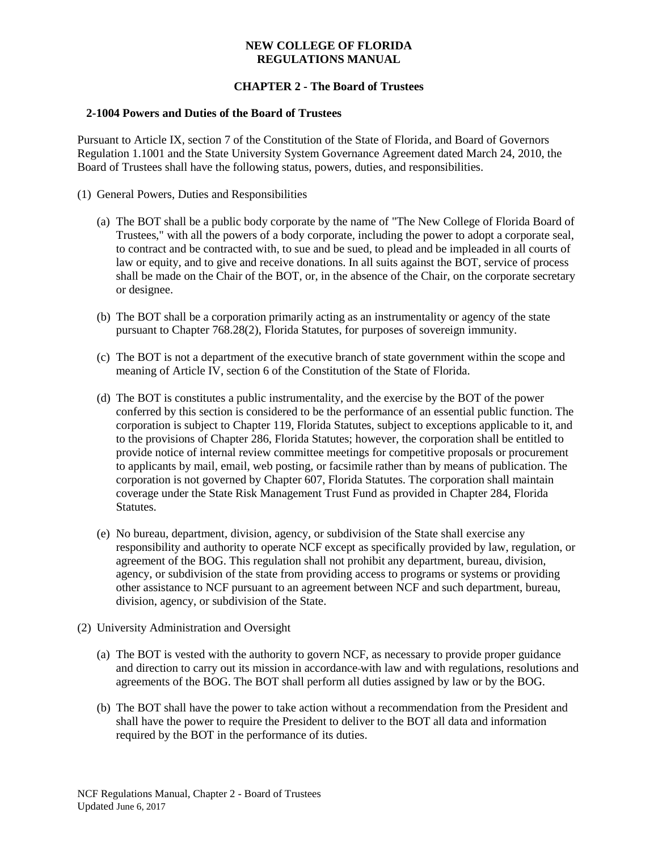## **CHAPTER 2 - The Board of Trustees**

### **2-1004 Powers and Duties of the Board of Trustees**

Pursuant to Article IX, section 7 of the Constitution of the State of Florida, and Board of Governors Regulation 1.1001 and the State University System Governance Agreement dated March 24, 2010, the Board of Trustees shall have the following status, powers, duties, and responsibilities.

- (1) General Powers, Duties and Responsibilities
	- (a) The BOT shall be a public body corporate by the name of "The New College of Florida Board of Trustees," with all the powers of a body corporate, including the power to adopt a corporate seal, to contract and be contracted with, to sue and be sued, to plead and be impleaded in all courts of law or equity, and to give and receive donations. In all suits against the BOT, service of process shall be made on the Chair of the BOT, or, in the absence of the Chair, on the corporate secretary or designee.
	- (b) The BOT shall be a corporation primarily acting as an instrumentality or agency of the state pursuant to Chapter 768.28(2), Florida Statutes, for purposes of sovereign immunity.
	- (c) The BOT is not a department of the executive branch of state government within the scope and meaning of Article IV, section 6 of the Constitution of the State of Florida.
	- (d) The BOT is constitutes a public instrumentality, and the exercise by the BOT of the power conferred by this section is considered to be the performance of an essential public function. The corporation is subject to Chapter 119, Florida Statutes, subject to exceptions applicable to it, and to the provisions of Chapter 286, Florida Statutes; however, the corporation shall be entitled to provide notice of internal review committee meetings for competitive proposals or procurement to applicants by mail, email, web posting, or facsimile rather than by means of publication. The corporation is not governed by Chapter 607, Florida Statutes. The corporation shall maintain coverage under the State Risk Management Trust Fund as provided in Chapter 284, Florida Statutes.
	- (e) No bureau, department, division, agency, or subdivision of the State shall exercise any responsibility and authority to operate NCF except as specifically provided by law, regulation, or agreement of the BOG. This regulation shall not prohibit any department, bureau, division, agency, or subdivision of the state from providing access to programs or systems or providing other assistance to NCF pursuant to an agreement between NCF and such department, bureau, division, agency, or subdivision of the State.
- (2) University Administration and Oversight
	- (a) The BOT is vested with the authority to govern NCF, as necessary to provide proper guidance and direction to carry out its mission in accordance with law and with regulations, resolutions and agreements of the BOG. The BOT shall perform all duties assigned by law or by the BOG.
	- (b) The BOT shall have the power to take action without a recommendation from the President and shall have the power to require the President to deliver to the BOT all data and information required by the BOT in the performance of its duties.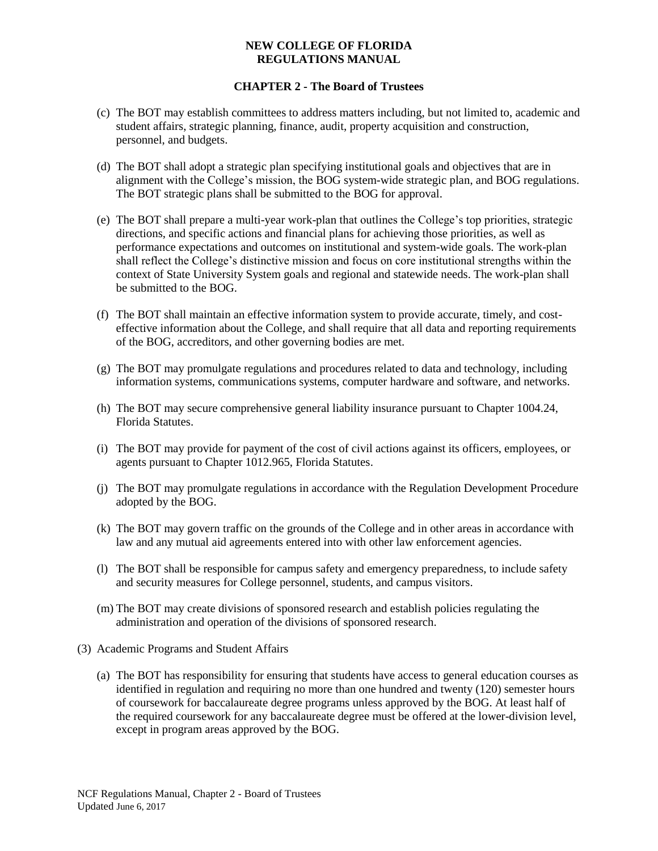- (c) The BOT may establish committees to address matters including, but not limited to, academic and student affairs, strategic planning, finance, audit, property acquisition and construction, personnel, and budgets.
- (d) The BOT shall adopt a strategic plan specifying institutional goals and objectives that are in alignment with the College's mission, the BOG system-wide strategic plan, and BOG regulations. The BOT strategic plans shall be submitted to the BOG for approval.
- (e) The BOT shall prepare a multi-year work-plan that outlines the College's top priorities, strategic directions, and specific actions and financial plans for achieving those priorities, as well as performance expectations and outcomes on institutional and system-wide goals. The work-plan shall reflect the College's distinctive mission and focus on core institutional strengths within the context of State University System goals and regional and statewide needs. The work-plan shall be submitted to the BOG.
- (f) The BOT shall maintain an effective information system to provide accurate, timely, and costeffective information about the College, and shall require that all data and reporting requirements of the BOG, accreditors, and other governing bodies are met.
- (g) The BOT may promulgate regulations and procedures related to data and technology, including information systems, communications systems, computer hardware and software, and networks.
- (h) The BOT may secure comprehensive general liability insurance pursuant to Chapter 1004.24, Florida Statutes.
- (i) The BOT may provide for payment of the cost of civil actions against its officers, employees, or agents pursuant to Chapter 1012.965, Florida Statutes.
- (j) The BOT may promulgate regulations in accordance with the Regulation Development Procedure adopted by the BOG.
- (k) The BOT may govern traffic on the grounds of the College and in other areas in accordance with law and any mutual aid agreements entered into with other law enforcement agencies.
- (l) The BOT shall be responsible for campus safety and emergency preparedness, to include safety and security measures for College personnel, students, and campus visitors.
- (m) The BOT may create divisions of sponsored research and establish policies regulating the administration and operation of the divisions of sponsored research.
- (3) Academic Programs and Student Affairs
	- (a) The BOT has responsibility for ensuring that students have access to general education courses as identified in regulation and requiring no more than one hundred and twenty (120) semester hours of coursework for baccalaureate degree programs unless approved by the BOG. At least half of the required coursework for any baccalaureate degree must be offered at the lower-division level, except in program areas approved by the BOG.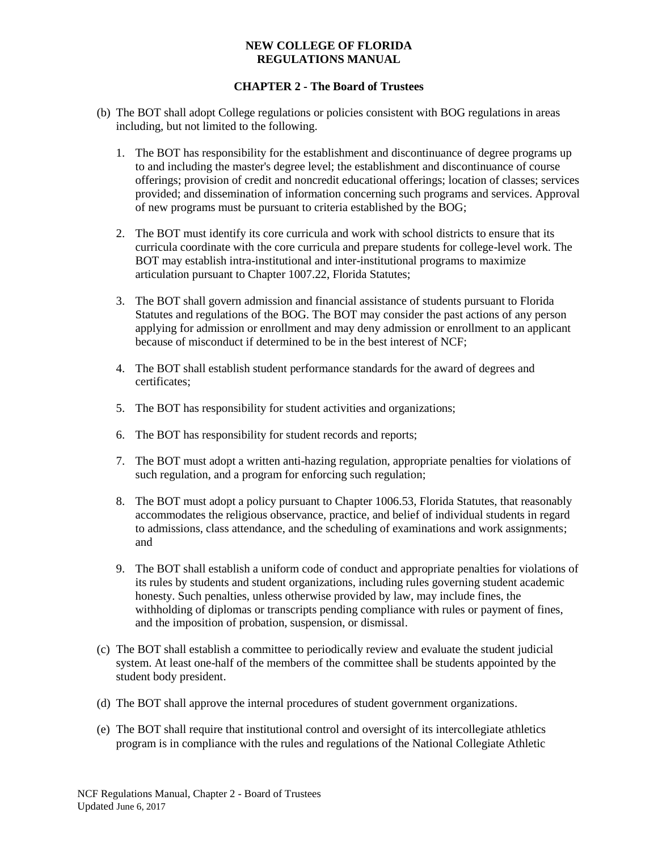- (b) The BOT shall adopt College regulations or policies consistent with BOG regulations in areas including, but not limited to the following.
	- 1. The BOT has responsibility for the establishment and discontinuance of degree programs up to and including the master's degree level; the establishment and discontinuance of course offerings; provision of credit and noncredit educational offerings; location of classes; services provided; and dissemination of information concerning such programs and services. Approval of new programs must be pursuant to criteria established by the BOG;
	- 2. The BOT must identify its core curricula and work with school districts to ensure that its curricula coordinate with the core curricula and prepare students for college-level work. The BOT may establish intra-institutional and inter-institutional programs to maximize articulation pursuant to Chapter 1007.22, Florida Statutes;
	- 3. The BOT shall govern admission and financial assistance of students pursuant to Florida Statutes and regulations of the BOG. The BOT may consider the past actions of any person applying for admission or enrollment and may deny admission or enrollment to an applicant because of misconduct if determined to be in the best interest of NCF;
	- 4. The BOT shall establish student performance standards for the award of degrees and certificates;
	- 5. The BOT has responsibility for student activities and organizations;
	- 6. The BOT has responsibility for student records and reports;
	- 7. The BOT must adopt a written anti-hazing regulation, appropriate penalties for violations of such regulation, and a program for enforcing such regulation;
	- 8. The BOT must adopt a policy pursuant to Chapter 1006.53, Florida Statutes, that reasonably accommodates the religious observance, practice, and belief of individual students in regard to admissions, class attendance, and the scheduling of examinations and work assignments; and
	- 9. The BOT shall establish a uniform code of conduct and appropriate penalties for violations of its rules by students and student organizations, including rules governing student academic honesty. Such penalties, unless otherwise provided by law, may include fines, the withholding of diplomas or transcripts pending compliance with rules or payment of fines, and the imposition of probation, suspension, or dismissal.
- (c) The BOT shall establish a committee to periodically review and evaluate the student judicial system. At least one-half of the members of the committee shall be students appointed by the student body president.
- (d) The BOT shall approve the internal procedures of student government organizations.
- (e) The BOT shall require that institutional control and oversight of its intercollegiate athletics program is in compliance with the rules and regulations of the National Collegiate Athletic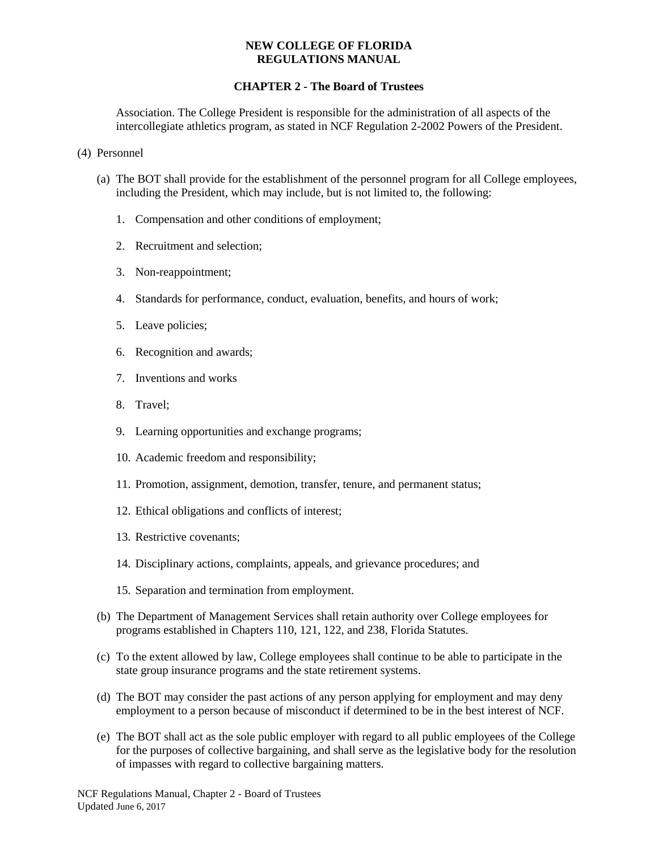## **CHAPTER 2 - The Board of Trustees**

Association. The College President is responsible for the administration of all aspects of the intercollegiate athletics program, as stated in NCF Regulation 2-2002 Powers of the President.

- (4) Personnel
	- (a) The BOT shall provide for the establishment of the personnel program for all College employees, including the President, which may include, but is not limited to, the following:
		- 1. Compensation and other conditions of employment;
		- 2. Recruitment and selection;
		- 3. Non-reappointment;
		- 4. Standards for performance, conduct, evaluation, benefits, and hours of work;
		- 5. Leave policies;
		- 6. Recognition and awards;
		- 7. Inventions and works
		- 8. Travel;
		- 9. Learning opportunities and exchange programs;
		- 10. Academic freedom and responsibility;
		- 11. Promotion, assignment, demotion, transfer, tenure, and permanent status;
		- 12. Ethical obligations and conflicts of interest;
		- 13. Restrictive covenants;
		- 14. Disciplinary actions, complaints, appeals, and grievance procedures; and
		- 15. Separation and termination from employment.
	- (b) The Department of Management Services shall retain authority over College employees for programs established in Chapters 110, 121, 122, and 238, Florida Statutes.
	- (c) To the extent allowed by law, College employees shall continue to be able to participate in the state group insurance programs and the state retirement systems.
	- (d) The BOT may consider the past actions of any person applying for employment and may deny employment to a person because of misconduct if determined to be in the best interest of NCF.
	- (e) The BOT shall act as the sole public employer with regard to all public employees of the College for the purposes of collective bargaining, and shall serve as the legislative body for the resolution of impasses with regard to collective bargaining matters.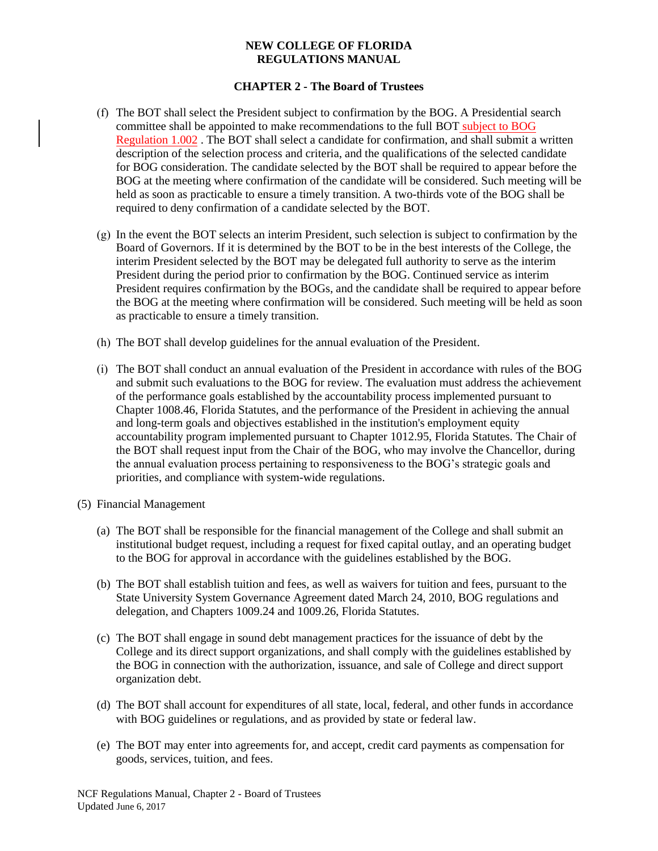- (f) The BOT shall select the President subject to confirmation by the BOG. A Presidential search committee shall be appointed to make recommendations to the full BOT subject to BOG Regulation 1.002 . The BOT shall select a candidate for confirmation, and shall submit a written description of the selection process and criteria, and the qualifications of the selected candidate for BOG consideration. The candidate selected by the BOT shall be required to appear before the BOG at the meeting where confirmation of the candidate will be considered. Such meeting will be held as soon as practicable to ensure a timely transition. A two-thirds vote of the BOG shall be required to deny confirmation of a candidate selected by the BOT.
- (g) In the event the BOT selects an interim President, such selection is subject to confirmation by the Board of Governors. If it is determined by the BOT to be in the best interests of the College, the interim President selected by the BOT may be delegated full authority to serve as the interim President during the period prior to confirmation by the BOG. Continued service as interim President requires confirmation by the BOGs, and the candidate shall be required to appear before the BOG at the meeting where confirmation will be considered. Such meeting will be held as soon as practicable to ensure a timely transition.
- (h) The BOT shall develop guidelines for the annual evaluation of the President.
- (i) The BOT shall conduct an annual evaluation of the President in accordance with rules of the BOG and submit such evaluations to the BOG for review. The evaluation must address the achievement of the performance goals established by the accountability process implemented pursuant to Chapter 1008.46, Florida Statutes, and the performance of the President in achieving the annual and long-term goals and objectives established in the institution's employment equity accountability program implemented pursuant to Chapter 1012.95, Florida Statutes. The Chair of the BOT shall request input from the Chair of the BOG, who may involve the Chancellor, during the annual evaluation process pertaining to responsiveness to the BOG's strategic goals and priorities, and compliance with system-wide regulations.
- (5) Financial Management
	- (a) The BOT shall be responsible for the financial management of the College and shall submit an institutional budget request, including a request for fixed capital outlay, and an operating budget to the BOG for approval in accordance with the guidelines established by the BOG.
	- (b) The BOT shall establish tuition and fees, as well as waivers for tuition and fees, pursuant to the State University System Governance Agreement dated March 24, 2010, BOG regulations and delegation, and Chapters 1009.24 and 1009.26, Florida Statutes.
	- (c) The BOT shall engage in sound debt management practices for the issuance of debt by the College and its direct support organizations, and shall comply with the guidelines established by the BOG in connection with the authorization, issuance, and sale of College and direct support organization debt.
	- (d) The BOT shall account for expenditures of all state, local, federal, and other funds in accordance with BOG guidelines or regulations, and as provided by state or federal law.
	- (e) The BOT may enter into agreements for, and accept, credit card payments as compensation for goods, services, tuition, and fees.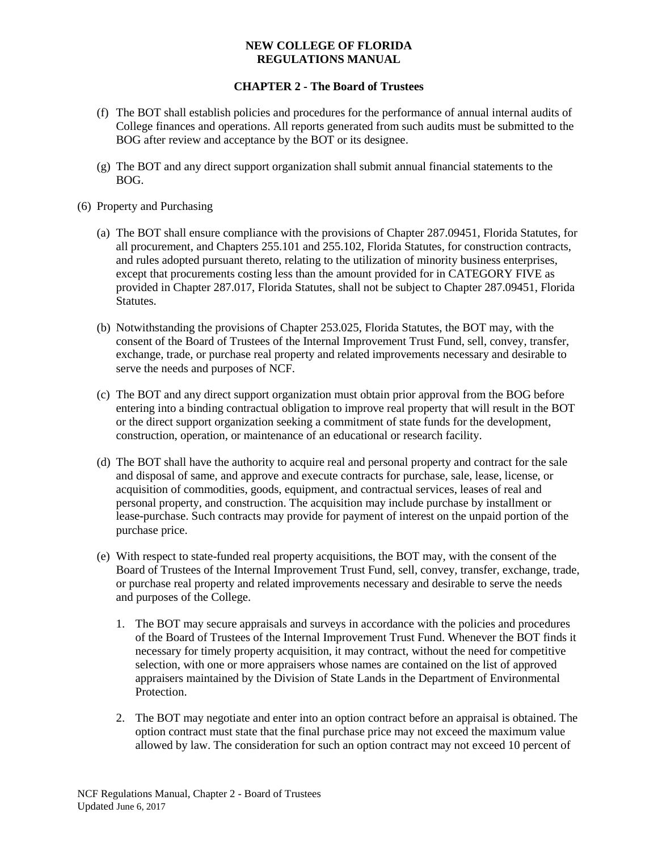- (f) The BOT shall establish policies and procedures for the performance of annual internal audits of College finances and operations. All reports generated from such audits must be submitted to the BOG after review and acceptance by the BOT or its designee.
- (g) The BOT and any direct support organization shall submit annual financial statements to the BOG.
- (6) Property and Purchasing
	- (a) The BOT shall ensure compliance with the provisions of Chapter 287.09451, Florida Statutes, for all procurement, and Chapters 255.101 and 255.102, Florida Statutes, for construction contracts, and rules adopted pursuant thereto, relating to the utilization of minority business enterprises, except that procurements costing less than the amount provided for in CATEGORY FIVE as provided in Chapter 287.017, Florida Statutes, shall not be subject to Chapter 287.09451, Florida Statutes.
	- (b) Notwithstanding the provisions of Chapter 253.025, Florida Statutes, the BOT may, with the consent of the Board of Trustees of the Internal Improvement Trust Fund, sell, convey, transfer, exchange, trade, or purchase real property and related improvements necessary and desirable to serve the needs and purposes of NCF.
	- (c) The BOT and any direct support organization must obtain prior approval from the BOG before entering into a binding contractual obligation to improve real property that will result in the BOT or the direct support organization seeking a commitment of state funds for the development, construction, operation, or maintenance of an educational or research facility.
	- (d) The BOT shall have the authority to acquire real and personal property and contract for the sale and disposal of same, and approve and execute contracts for purchase, sale, lease, license, or acquisition of commodities, goods, equipment, and contractual services, leases of real and personal property, and construction. The acquisition may include purchase by installment or lease-purchase. Such contracts may provide for payment of interest on the unpaid portion of the purchase price.
	- (e) With respect to state-funded real property acquisitions, the BOT may, with the consent of the Board of Trustees of the Internal Improvement Trust Fund, sell, convey, transfer, exchange, trade, or purchase real property and related improvements necessary and desirable to serve the needs and purposes of the College.
		- 1. The BOT may secure appraisals and surveys in accordance with the policies and procedures of the Board of Trustees of the Internal Improvement Trust Fund. Whenever the BOT finds it necessary for timely property acquisition, it may contract, without the need for competitive selection, with one or more appraisers whose names are contained on the list of approved appraisers maintained by the Division of State Lands in the Department of Environmental Protection.
		- 2. The BOT may negotiate and enter into an option contract before an appraisal is obtained. The option contract must state that the final purchase price may not exceed the maximum value allowed by law. The consideration for such an option contract may not exceed 10 percent of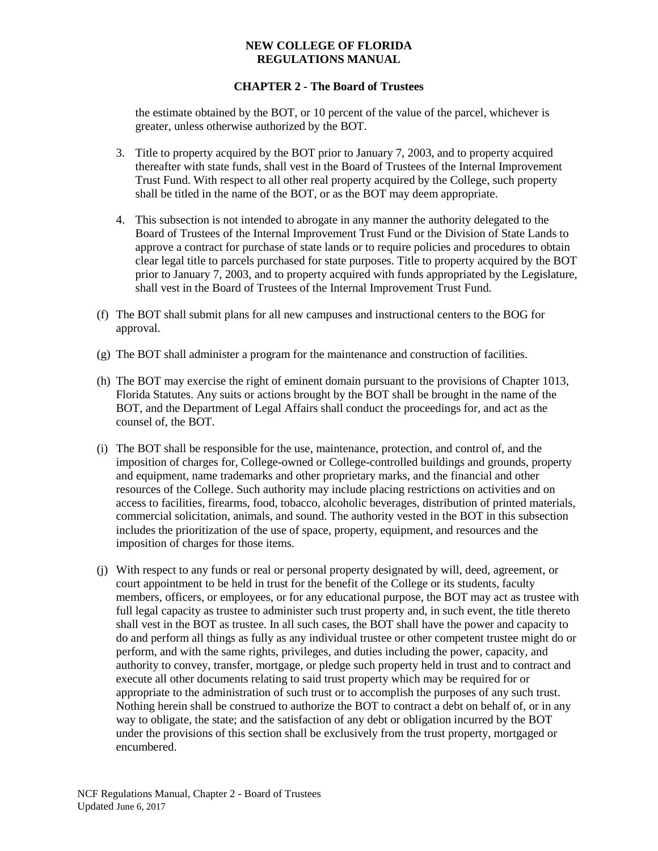## **CHAPTER 2 - The Board of Trustees**

the estimate obtained by the BOT, or 10 percent of the value of the parcel, whichever is greater, unless otherwise authorized by the BOT.

- 3. Title to property acquired by the BOT prior to January 7, 2003, and to property acquired thereafter with state funds, shall vest in the Board of Trustees of the Internal Improvement Trust Fund. With respect to all other real property acquired by the College, such property shall be titled in the name of the BOT, or as the BOT may deem appropriate.
- 4. This subsection is not intended to abrogate in any manner the authority delegated to the Board of Trustees of the Internal Improvement Trust Fund or the Division of State Lands to approve a contract for purchase of state lands or to require policies and procedures to obtain clear legal title to parcels purchased for state purposes. Title to property acquired by the BOT prior to January 7, 2003, and to property acquired with funds appropriated by the Legislature, shall vest in the Board of Trustees of the Internal Improvement Trust Fund.
- (f) The BOT shall submit plans for all new campuses and instructional centers to the BOG for approval.
- (g) The BOT shall administer a program for the maintenance and construction of facilities.
- (h) The BOT may exercise the right of eminent domain pursuant to the provisions of Chapter 1013, Florida Statutes. Any suits or actions brought by the BOT shall be brought in the name of the BOT, and the Department of Legal Affairs shall conduct the proceedings for, and act as the counsel of, the BOT.
- (i) The BOT shall be responsible for the use, maintenance, protection, and control of, and the imposition of charges for, College-owned or College-controlled buildings and grounds, property and equipment, name trademarks and other proprietary marks, and the financial and other resources of the College. Such authority may include placing restrictions on activities and on access to facilities, firearms, food, tobacco, alcoholic beverages, distribution of printed materials, commercial solicitation, animals, and sound. The authority vested in the BOT in this subsection includes the prioritization of the use of space, property, equipment, and resources and the imposition of charges for those items.
- (j) With respect to any funds or real or personal property designated by will, deed, agreement, or court appointment to be held in trust for the benefit of the College or its students, faculty members, officers, or employees, or for any educational purpose, the BOT may act as trustee with full legal capacity as trustee to administer such trust property and, in such event, the title thereto shall vest in the BOT as trustee. In all such cases, the BOT shall have the power and capacity to do and perform all things as fully as any individual trustee or other competent trustee might do or perform, and with the same rights, privileges, and duties including the power, capacity, and authority to convey, transfer, mortgage, or pledge such property held in trust and to contract and execute all other documents relating to said trust property which may be required for or appropriate to the administration of such trust or to accomplish the purposes of any such trust. Nothing herein shall be construed to authorize the BOT to contract a debt on behalf of, or in any way to obligate, the state; and the satisfaction of any debt or obligation incurred by the BOT under the provisions of this section shall be exclusively from the trust property, mortgaged or encumbered.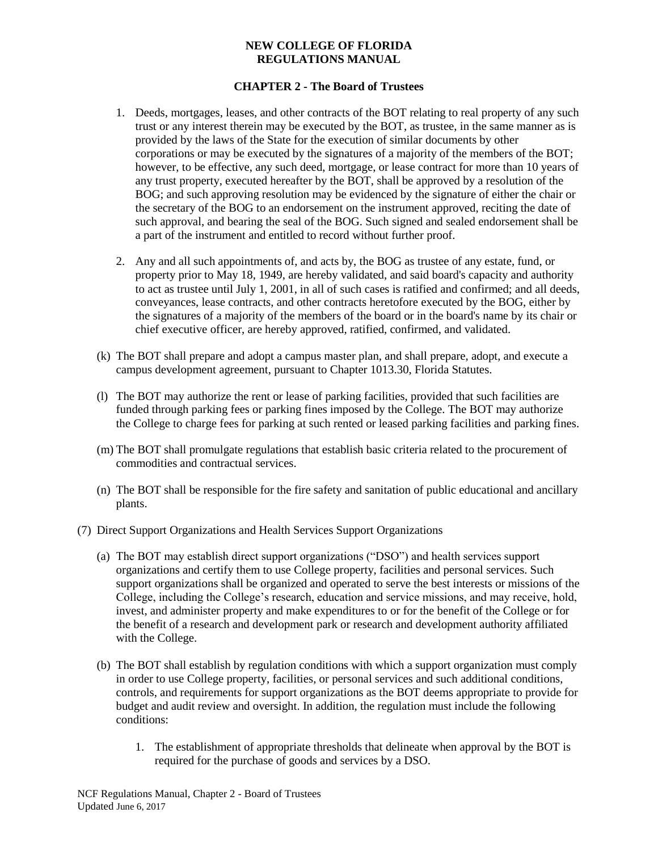- 1. Deeds, mortgages, leases, and other contracts of the BOT relating to real property of any such trust or any interest therein may be executed by the BOT, as trustee, in the same manner as is provided by the laws of the State for the execution of similar documents by other corporations or may be executed by the signatures of a majority of the members of the BOT; however, to be effective, any such deed, mortgage, or lease contract for more than 10 years of any trust property, executed hereafter by the BOT, shall be approved by a resolution of the BOG; and such approving resolution may be evidenced by the signature of either the chair or the secretary of the BOG to an endorsement on the instrument approved, reciting the date of such approval, and bearing the seal of the BOG. Such signed and sealed endorsement shall be a part of the instrument and entitled to record without further proof.
- 2. Any and all such appointments of, and acts by, the BOG as trustee of any estate, fund, or property prior to May 18, 1949, are hereby validated, and said board's capacity and authority to act as trustee until July 1, 2001, in all of such cases is ratified and confirmed; and all deeds, conveyances, lease contracts, and other contracts heretofore executed by the BOG, either by the signatures of a majority of the members of the board or in the board's name by its chair or chief executive officer, are hereby approved, ratified, confirmed, and validated.
- (k) The BOT shall prepare and adopt a campus master plan, and shall prepare, adopt, and execute a campus development agreement, pursuant to Chapter 1013.30, Florida Statutes.
- (l) The BOT may authorize the rent or lease of parking facilities, provided that such facilities are funded through parking fees or parking fines imposed by the College. The BOT may authorize the College to charge fees for parking at such rented or leased parking facilities and parking fines.
- (m) The BOT shall promulgate regulations that establish basic criteria related to the procurement of commodities and contractual services.
- (n) The BOT shall be responsible for the fire safety and sanitation of public educational and ancillary plants.
- (7) Direct Support Organizations and Health Services Support Organizations
	- (a) The BOT may establish direct support organizations ("DSO") and health services support organizations and certify them to use College property, facilities and personal services. Such support organizations shall be organized and operated to serve the best interests or missions of the College, including the College's research, education and service missions, and may receive, hold, invest, and administer property and make expenditures to or for the benefit of the College or for the benefit of a research and development park or research and development authority affiliated with the College.
	- (b) The BOT shall establish by regulation conditions with which a support organization must comply in order to use College property, facilities, or personal services and such additional conditions, controls, and requirements for support organizations as the BOT deems appropriate to provide for budget and audit review and oversight. In addition, the regulation must include the following conditions:
		- 1. The establishment of appropriate thresholds that delineate when approval by the BOT is required for the purchase of goods and services by a DSO.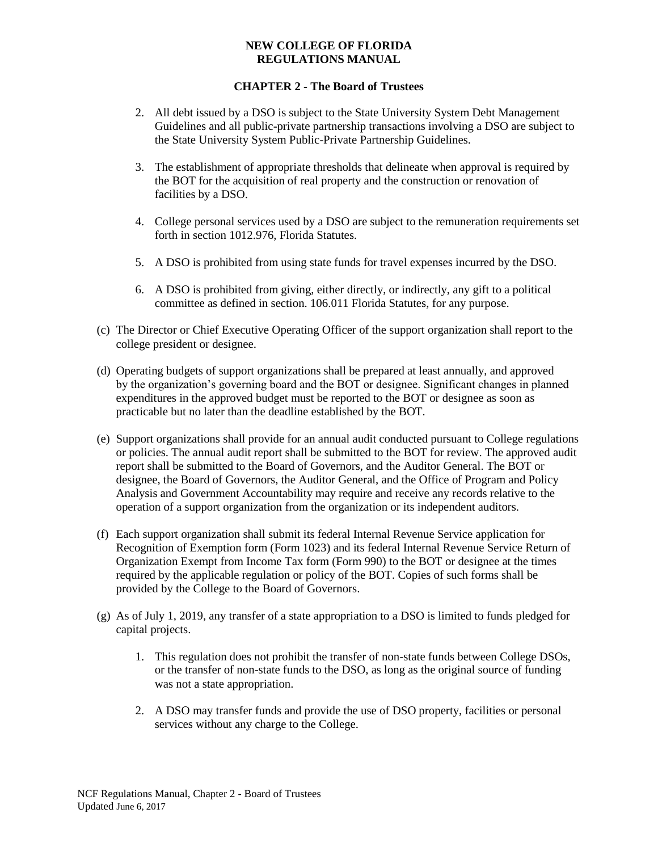- 2. All debt issued by a DSO is subject to the State University System Debt Management Guidelines and all public-private partnership transactions involving a DSO are subject to the State University System Public-Private Partnership Guidelines.
- 3. The establishment of appropriate thresholds that delineate when approval is required by the BOT for the acquisition of real property and the construction or renovation of facilities by a DSO.
- 4. College personal services used by a DSO are subject to the remuneration requirements set forth in section 1012.976, Florida Statutes.
- 5. A DSO is prohibited from using state funds for travel expenses incurred by the DSO.
- 6. A DSO is prohibited from giving, either directly, or indirectly, any gift to a political committee as defined in section. 106.011 Florida Statutes, for any purpose.
- (c) The Director or Chief Executive Operating Officer of the support organization shall report to the college president or designee.
- (d) Operating budgets of support organizations shall be prepared at least annually, and approved by the organization's governing board and the BOT or designee. Significant changes in planned expenditures in the approved budget must be reported to the BOT or designee as soon as practicable but no later than the deadline established by the BOT.
- (e) Support organizations shall provide for an annual audit conducted pursuant to College regulations or policies. The annual audit report shall be submitted to the BOT for review. The approved audit report shall be submitted to the Board of Governors, and the Auditor General. The BOT or designee, the Board of Governors, the Auditor General, and the Office of Program and Policy Analysis and Government Accountability may require and receive any records relative to the operation of a support organization from the organization or its independent auditors.
- (f) Each support organization shall submit its federal Internal Revenue Service application for Recognition of Exemption form (Form 1023) and its federal Internal Revenue Service Return of Organization Exempt from Income Tax form (Form 990) to the BOT or designee at the times required by the applicable regulation or policy of the BOT. Copies of such forms shall be provided by the College to the Board of Governors.
- (g) As of July 1, 2019, any transfer of a state appropriation to a DSO is limited to funds pledged for capital projects.
	- 1. This regulation does not prohibit the transfer of non-state funds between College DSOs, or the transfer of non-state funds to the DSO, as long as the original source of funding was not a state appropriation.
	- 2. A DSO may transfer funds and provide the use of DSO property, facilities or personal services without any charge to the College.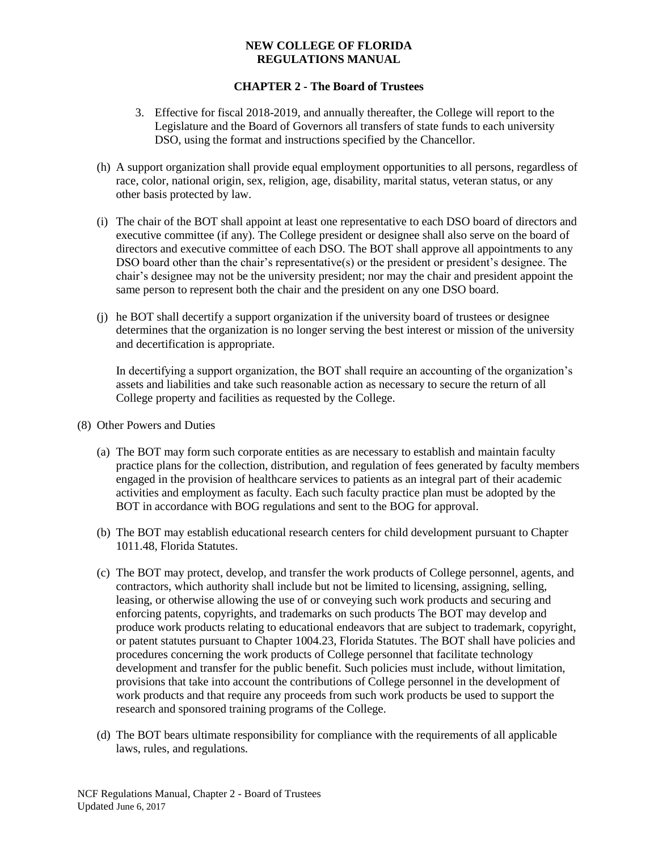# **CHAPTER 2 - The Board of Trustees**

- 3. Effective for fiscal 2018-2019, and annually thereafter, the College will report to the Legislature and the Board of Governors all transfers of state funds to each university DSO, using the format and instructions specified by the Chancellor.
- (h) A support organization shall provide equal employment opportunities to all persons, regardless of race, color, national origin, sex, religion, age, disability, marital status, veteran status, or any other basis protected by law.
- (i) The chair of the BOT shall appoint at least one representative to each DSO board of directors and executive committee (if any). The College president or designee shall also serve on the board of directors and executive committee of each DSO. The BOT shall approve all appointments to any DSO board other than the chair's representative(s) or the president or president's designee. The chair's designee may not be the university president; nor may the chair and president appoint the same person to represent both the chair and the president on any one DSO board.
- (j) he BOT shall decertify a support organization if the university board of trustees or designee determines that the organization is no longer serving the best interest or mission of the university and decertification is appropriate.

In decertifying a support organization, the BOT shall require an accounting of the organization's assets and liabilities and take such reasonable action as necessary to secure the return of all College property and facilities as requested by the College.

- (8) Other Powers and Duties
	- (a) The BOT may form such corporate entities as are necessary to establish and maintain faculty practice plans for the collection, distribution, and regulation of fees generated by faculty members engaged in the provision of healthcare services to patients as an integral part of their academic activities and employment as faculty. Each such faculty practice plan must be adopted by the BOT in accordance with BOG regulations and sent to the BOG for approval.
	- (b) The BOT may establish educational research centers for child development pursuant to Chapter 1011.48, Florida Statutes.
	- (c) The BOT may protect, develop, and transfer the work products of College personnel, agents, and contractors, which authority shall include but not be limited to licensing, assigning, selling, leasing, or otherwise allowing the use of or conveying such work products and securing and enforcing patents, copyrights, and trademarks on such products The BOT may develop and produce work products relating to educational endeavors that are subject to trademark, copyright, or patent statutes pursuant to Chapter 1004.23, Florida Statutes. The BOT shall have policies and procedures concerning the work products of College personnel that facilitate technology development and transfer for the public benefit. Such policies must include, without limitation, provisions that take into account the contributions of College personnel in the development of work products and that require any proceeds from such work products be used to support the research and sponsored training programs of the College.
	- (d) The BOT bears ultimate responsibility for compliance with the requirements of all applicable laws, rules, and regulations.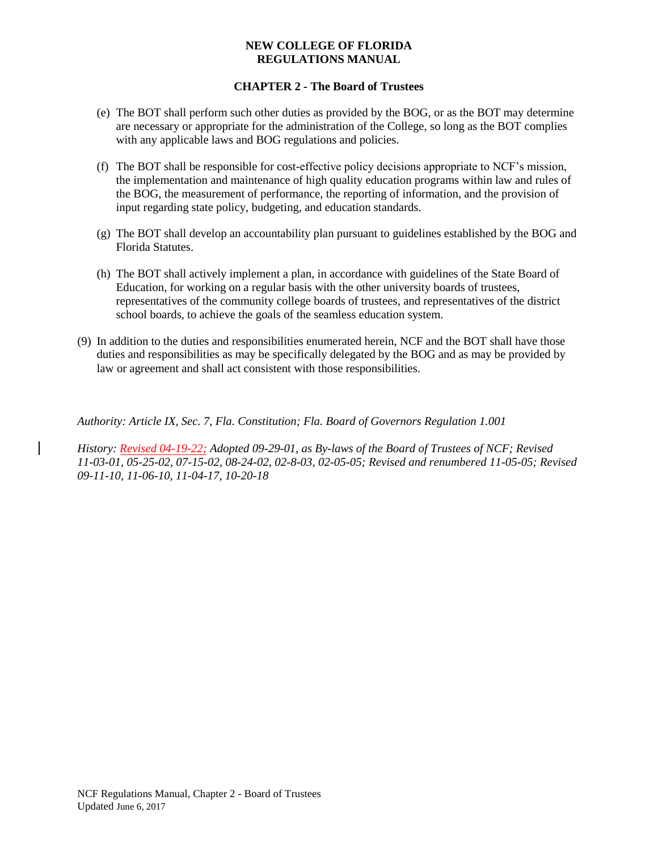## **CHAPTER 2 - The Board of Trustees**

- (e) The BOT shall perform such other duties as provided by the BOG, or as the BOT may determine are necessary or appropriate for the administration of the College, so long as the BOT complies with any applicable laws and BOG regulations and policies.
- (f) The BOT shall be responsible for cost-effective policy decisions appropriate to NCF's mission, the implementation and maintenance of high quality education programs within law and rules of the BOG, the measurement of performance, the reporting of information, and the provision of input regarding state policy, budgeting, and education standards.
- (g) The BOT shall develop an accountability plan pursuant to guidelines established by the BOG and Florida Statutes.
- (h) The BOT shall actively implement a plan, in accordance with guidelines of the State Board of Education, for working on a regular basis with the other university boards of trustees, representatives of the community college boards of trustees, and representatives of the district school boards, to achieve the goals of the seamless education system.
- (9) In addition to the duties and responsibilities enumerated herein, NCF and the BOT shall have those duties and responsibilities as may be specifically delegated by the BOG and as may be provided by law or agreement and shall act consistent with those responsibilities.

*Authority: Article IX, Sec. 7, Fla. Constitution; Fla. Board of Governors Regulation 1.001* 

*History: Revised 04-19-22; Adopted 09-29-01, as By-laws of the Board of Trustees of NCF; Revised 11-03-01, 05-25-02, 07-15-02, 08-24-02, 02-8-03, 02-05-05; Revised and renumbered 11-05-05; Revised 09-11-10, 11-06-10, 11-04-17, 10-20-18*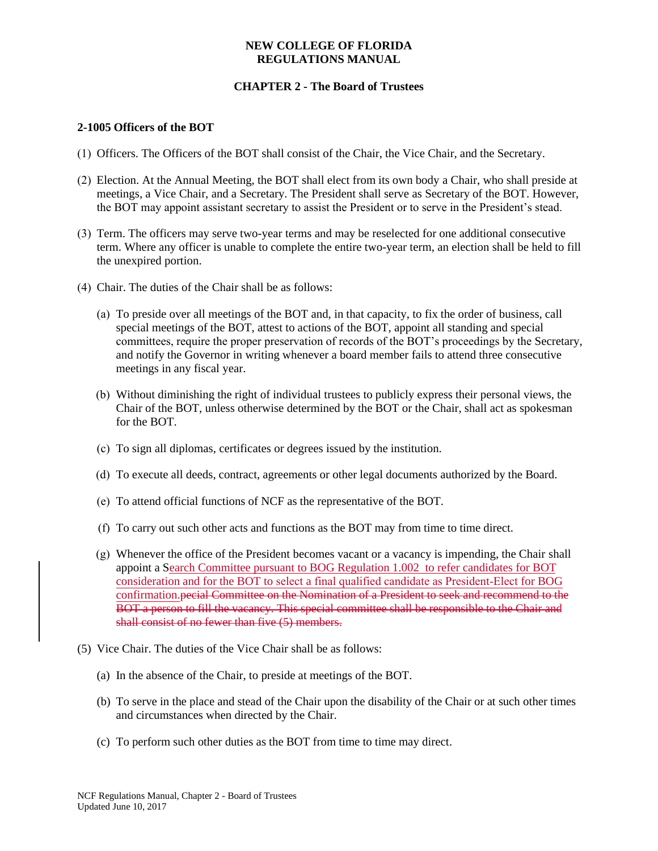## **CHAPTER 2 - The Board of Trustees**

## **2-1005 Officers of the BOT**

- (1) Officers. The Officers of the BOT shall consist of the Chair, the Vice Chair, and the Secretary.
- (2) Election. At the Annual Meeting, the BOT shall elect from its own body a Chair, who shall preside at meetings, a Vice Chair, and a Secretary. The President shall serve as Secretary of the BOT. However, the BOT may appoint assistant secretary to assist the President or to serve in the President's stead.
- (3) Term. The officers may serve two-year terms and may be reselected for one additional consecutive term. Where any officer is unable to complete the entire two-year term, an election shall be held to fill the unexpired portion.
- (4) Chair. The duties of the Chair shall be as follows:
	- (a) To preside over all meetings of the BOT and, in that capacity, to fix the order of business, call special meetings of the BOT, attest to actions of the BOT, appoint all standing and special committees, require the proper preservation of records of the BOT's proceedings by the Secretary, and notify the Governor in writing whenever a board member fails to attend three consecutive meetings in any fiscal year.
	- (b) Without diminishing the right of individual trustees to publicly express their personal views, the Chair of the BOT, unless otherwise determined by the BOT or the Chair, shall act as spokesman for the BOT.
	- (c) To sign all diplomas, certificates or degrees issued by the institution.
	- (d) To execute all deeds, contract, agreements or other legal documents authorized by the Board.
	- (e) To attend official functions of NCF as the representative of the BOT.
	- (f) To carry out such other acts and functions as the BOT may from time to time direct.
	- (g) Whenever the office of the President becomes vacant or a vacancy is impending, the Chair shall appoint a Search Committee pursuant to BOG Regulation 1.002 to refer candidates for BOT consideration and for the BOT to select a final qualified candidate as President-Elect for BOG confirmation.pecial Committee on the Nomination of a President to seek and recommend to the BOT a person to fill the vacancy. This special committee shall be responsible to the Chair and shall consist of no fewer than five (5) members.
- (5) Vice Chair. The duties of the Vice Chair shall be as follows:
	- (a) In the absence of the Chair, to preside at meetings of the BOT.
	- (b) To serve in the place and stead of the Chair upon the disability of the Chair or at such other times and circumstances when directed by the Chair.
	- (c) To perform such other duties as the BOT from time to time may direct.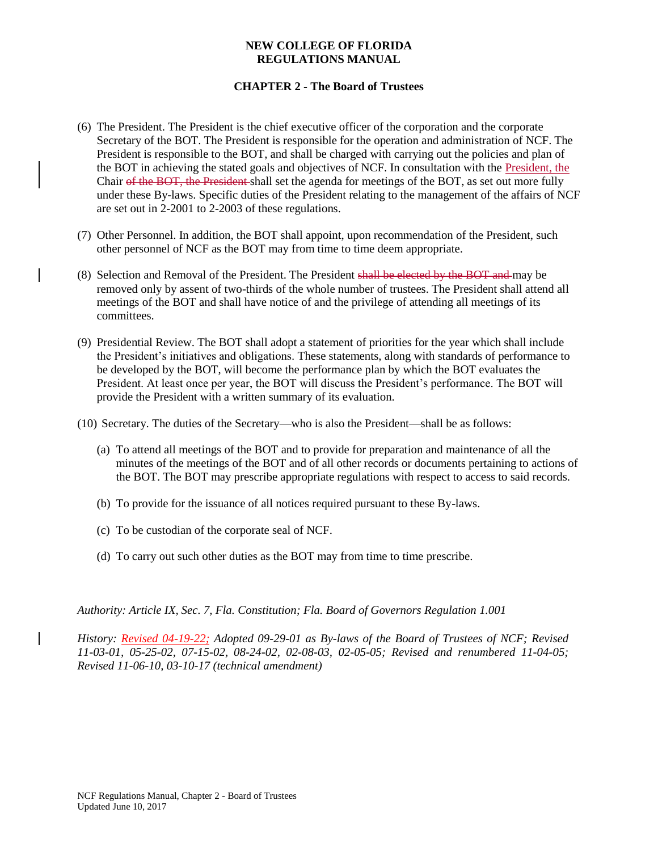## **CHAPTER 2 - The Board of Trustees**

- (6) The President. The President is the chief executive officer of the corporation and the corporate Secretary of the BOT. The President is responsible for the operation and administration of NCF. The President is responsible to the BOT, and shall be charged with carrying out the policies and plan of the BOT in achieving the stated goals and objectives of NCF. In consultation with the President, the Chair of the BOT, the President shall set the agenda for meetings of the BOT, as set out more fully under these By-laws. Specific duties of the President relating to the management of the affairs of NCF are set out in 2-2001 to 2-2003 of these regulations.
- (7) Other Personnel. In addition, the BOT shall appoint, upon recommendation of the President, such other personnel of NCF as the BOT may from time to time deem appropriate.
- (8) Selection and Removal of the President. The President shall be elected by the BOT and may be removed only by assent of two-thirds of the whole number of trustees. The President shall attend all meetings of the BOT and shall have notice of and the privilege of attending all meetings of its committees.
- (9) Presidential Review. The BOT shall adopt a statement of priorities for the year which shall include the President's initiatives and obligations. These statements, along with standards of performance to be developed by the BOT, will become the performance plan by which the BOT evaluates the President. At least once per year, the BOT will discuss the President's performance. The BOT will provide the President with a written summary of its evaluation.
- (10) Secretary. The duties of the Secretary—who is also the President—shall be as follows:
	- (a) To attend all meetings of the BOT and to provide for preparation and maintenance of all the minutes of the meetings of the BOT and of all other records or documents pertaining to actions of the BOT. The BOT may prescribe appropriate regulations with respect to access to said records.
	- (b) To provide for the issuance of all notices required pursuant to these By-laws.
	- (c) To be custodian of the corporate seal of NCF.
	- (d) To carry out such other duties as the BOT may from time to time prescribe.

*Authority: Article IX, Sec. 7, Fla. Constitution; Fla. Board of Governors Regulation 1.001* 

*History: Revised 04-19-22; Adopted 09-29-01 as By-laws of the Board of Trustees of NCF; Revised 11-03-01, 05-25-02, 07-15-02, 08-24-02, 02-08-03, 02-05-05; Revised and renumbered 11-04-05; Revised 11-06-10, 03-10-17 (technical amendment)*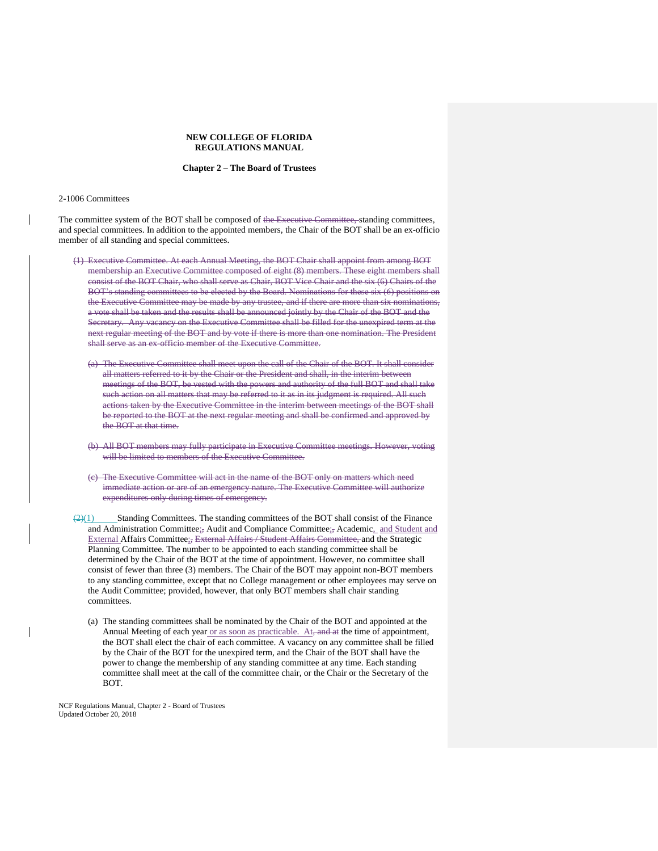#### **Chapter 2 – The Board of Trustees**

#### 2-1006 Committees

The committee system of the BOT shall be composed of the Executive Committee, standing committees, and special committees. In addition to the appointed members, the Chair of the BOT shall be an ex-officio member of all standing and special committees.

- (1) Executive Committee. At each Annual Meeting, the BOT Chair shall appoint from among BOT membership an Executive Committee composed of eight (8) members. These eight members shall consist of the BOT Chair, who shall serve as Chair, BOT Vice Chair and the six (6) Chairs of the BOT's standing committees to be elected by the Board. Nominations for these six (6) positions on the Executive Committee may be made by any trustee, and if there are more than six nominations, a vote shall be taken and the results shall be announced jointly by the Chair of the BOT and the Secretary. Any vacancy on the Executive Committee shall be filled for the unexpired term at the next regular meeting of the BOT and by vote if there is more than one nomination. The President shall serve as an ex-officio member of the Executive Committee.
	- (a) The Executive Committee shall meet upon the call of the Chair of the BOT. It shall consider all matters referred to it by the Chair or the President and shall, in the interim between meetings of the BOT, be vested with the powers and authority of the full BOT and shall take such action on all matters that may be referred to it as in its judgment is required. All such actions taken by the Executive Committee in the interim between meetings of the BOT shall be reported to the BOT at the next regular meeting and shall be confirmed and approved by the BOT at that time.
	- (b) All BOT members may fully participate in Executive Committee meetings. However, voting will be limited to members of the Executive Committee.
	- (c) The Executive Committee will act in the name of the BOT only on matters which need immediate action or are of an emergency nature. The Executive Committee will authorize expenditures only during times of emergency.
- $\frac{2(1)}{2(1)}$  Standing Committees. The standing committees of the BOT shall consist of the Finance and Administration Committee;<sub>5</sub> Audit and Compliance Committee;<sub>5</sub> Academic, and Student and External Affairs Committee;, External Affairs / Student Affairs Committee, and the Strategic Planning Committee. The number to be appointed to each standing committee shall be determined by the Chair of the BOT at the time of appointment. However, no committee shall consist of fewer than three (3) members. The Chair of the BOT may appoint non-BOT members to any standing committee, except that no College management or other employees may serve on the Audit Committee; provided, however, that only BOT members shall chair standing committees.
	- (a) The standing committees shall be nominated by the Chair of the BOT and appointed at the Annual Meeting of each year or as soon as practicable. At, and at the time of appointment, the BOT shall elect the chair of each committee. A vacancy on any committee shall be filled by the Chair of the BOT for the unexpired term, and the Chair of the BOT shall have the power to change the membership of any standing committee at any time. Each standing committee shall meet at the call of the committee chair, or the Chair or the Secretary of the BOT.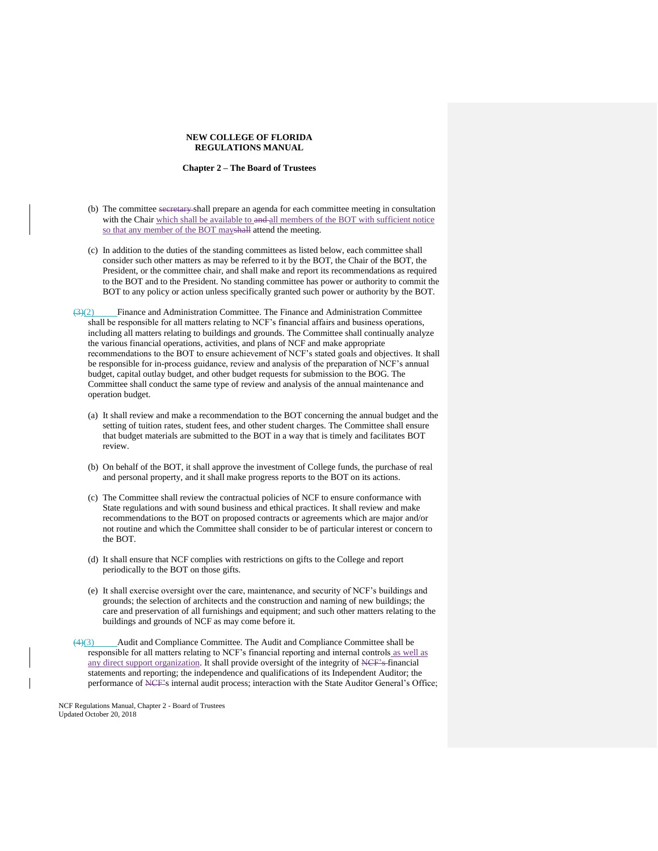#### **Chapter 2 – The Board of Trustees**

- (b) The committee secretary shall prepare an agenda for each committee meeting in consultation with the Chair which shall be available to and all members of the BOT with sufficient notice so that any member of the BOT mayshall attend the meeting.
- (c) In addition to the duties of the standing committees as listed below, each committee shall consider such other matters as may be referred to it by the BOT, the Chair of the BOT, the President, or the committee chair, and shall make and report its recommendations as required to the BOT and to the President. No standing committee has power or authority to commit the BOT to any policy or action unless specifically granted such power or authority by the BOT.
- $\left(\frac{3}{2}\right)$  Finance and Administration Committee. The Finance and Administration Committee shall be responsible for all matters relating to NCF's financial affairs and business operations, including all matters relating to buildings and grounds. The Committee shall continually analyze the various financial operations, activities, and plans of NCF and make appropriate recommendations to the BOT to ensure achievement of NCF's stated goals and objectives. It shall be responsible for in-process guidance, review and analysis of the preparation of NCF's annual budget, capital outlay budget, and other budget requests for submission to the BOG. The Committee shall conduct the same type of review and analysis of the annual maintenance and operation budget.
	- (a) It shall review and make a recommendation to the BOT concerning the annual budget and the setting of tuition rates, student fees, and other student charges. The Committee shall ensure that budget materials are submitted to the BOT in a way that is timely and facilitates BOT review.
	- (b) On behalf of the BOT, it shall approve the investment of College funds, the purchase of real and personal property, and it shall make progress reports to the BOT on its actions.
	- (c) The Committee shall review the contractual policies of NCF to ensure conformance with State regulations and with sound business and ethical practices. It shall review and make recommendations to the BOT on proposed contracts or agreements which are major and/or not routine and which the Committee shall consider to be of particular interest or concern to the BOT.
	- (d) It shall ensure that NCF complies with restrictions on gifts to the College and report periodically to the BOT on those gifts.
	- (e) It shall exercise oversight over the care, maintenance, and security of NCF's buildings and grounds; the selection of architects and the construction and naming of new buildings; the care and preservation of all furnishings and equipment; and such other matters relating to the buildings and grounds of NCF as may come before it.
- (4)(3) Audit and Compliance Committee. The Audit and Compliance Committee shall be responsible for all matters relating to NCF's financial reporting and internal controls as well as any direct support organization. It shall provide oversight of the integrity of NCF's financial statements and reporting; the independence and qualifications of its Independent Auditor; the performance of NCF's internal audit process; interaction with the State Auditor General's Office;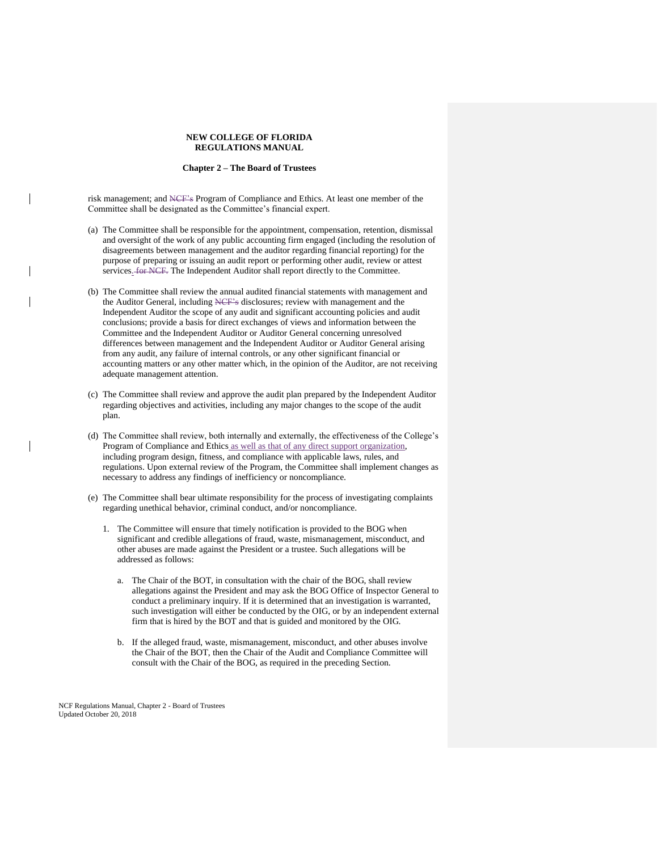#### **Chapter 2 – The Board of Trustees**

risk management; and NCF's Program of Compliance and Ethics. At least one member of the Committee shall be designated as the Committee's financial expert.

- (a) The Committee shall be responsible for the appointment, compensation, retention, dismissal and oversight of the work of any public accounting firm engaged (including the resolution of disagreements between management and the auditor regarding financial reporting) for the purpose of preparing or issuing an audit report or performing other audit, review or attest services. for NCF. The Independent Auditor shall report directly to the Committee.
- (b) The Committee shall review the annual audited financial statements with management and the Auditor General, including NCF's disclosures; review with management and the Independent Auditor the scope of any audit and significant accounting policies and audit conclusions; provide a basis for direct exchanges of views and information between the Committee and the Independent Auditor or Auditor General concerning unresolved differences between management and the Independent Auditor or Auditor General arising from any audit, any failure of internal controls, or any other significant financial or accounting matters or any other matter which, in the opinion of the Auditor, are not receiving adequate management attention.
- (c) The Committee shall review and approve the audit plan prepared by the Independent Auditor regarding objectives and activities, including any major changes to the scope of the audit plan.
- (d) The Committee shall review, both internally and externally, the effectiveness of the College's Program of Compliance and Ethics as well as that of any direct support organization, including program design, fitness, and compliance with applicable laws, rules, and regulations. Upon external review of the Program, the Committee shall implement changes as necessary to address any findings of inefficiency or noncompliance.
- (e) The Committee shall bear ultimate responsibility for the process of investigating complaints regarding unethical behavior, criminal conduct, and/or noncompliance.
	- 1. The Committee will ensure that timely notification is provided to the BOG when significant and credible allegations of fraud, waste, mismanagement, misconduct, and other abuses are made against the President or a trustee. Such allegations will be addressed as follows:
		- a. The Chair of the BOT, in consultation with the chair of the BOG, shall review allegations against the President and may ask the BOG Office of Inspector General to conduct a preliminary inquiry. If it is determined that an investigation is warranted, such investigation will either be conducted by the OIG, or by an independent external firm that is hired by the BOT and that is guided and monitored by the OIG.
		- b. If the alleged fraud, waste, mismanagement, misconduct, and other abuses involve the Chair of the BOT, then the Chair of the Audit and Compliance Committee will consult with the Chair of the BOG, as required in the preceding Section.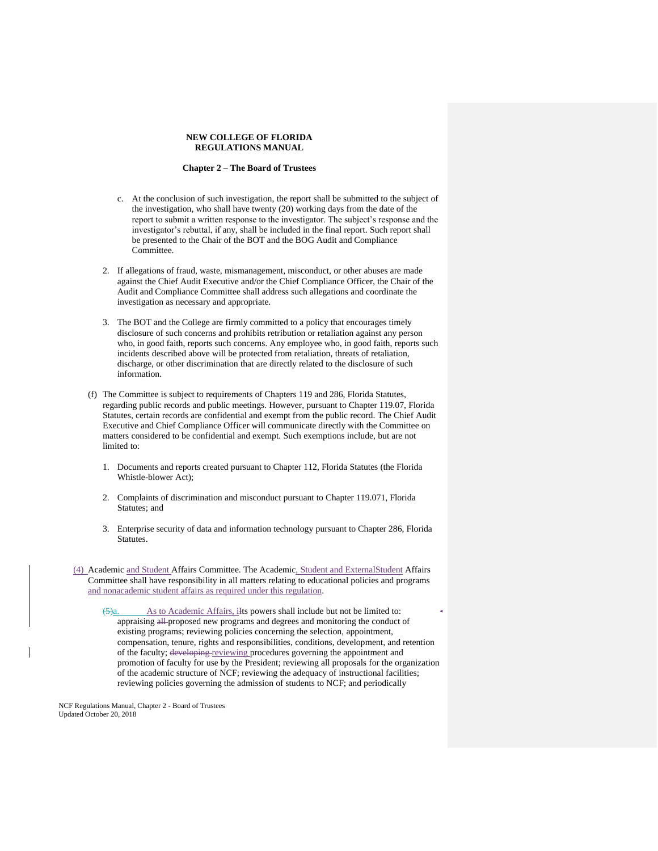#### **Chapter 2 – The Board of Trustees**

- c. At the conclusion of such investigation, the report shall be submitted to the subject of the investigation, who shall have twenty (20) working days from the date of the report to submit a written response to the investigator. The subject's response and the investigator's rebuttal, if any, shall be included in the final report. Such report shall be presented to the Chair of the BOT and the BOG Audit and Compliance Committee.
- 2. If allegations of fraud, waste, mismanagement, misconduct, or other abuses are made against the Chief Audit Executive and/or the Chief Compliance Officer, the Chair of the Audit and Compliance Committee shall address such allegations and coordinate the investigation as necessary and appropriate.
- 3. The BOT and the College are firmly committed to a policy that encourages timely disclosure of such concerns and prohibits retribution or retaliation against any person who, in good faith, reports such concerns. Any employee who, in good faith, reports such incidents described above will be protected from retaliation, threats of retaliation, discharge, or other discrimination that are directly related to the disclosure of such information.
- (f) The Committee is subject to requirements of Chapters 119 and 286, Florida Statutes, regarding public records and public meetings. However, pursuant to Chapter 119.07, Florida Statutes, certain records are confidential and exempt from the public record. The Chief Audit Executive and Chief Compliance Officer will communicate directly with the Committee on matters considered to be confidential and exempt. Such exemptions include, but are not limited to:
	- 1. Documents and reports created pursuant to Chapter 112, Florida Statutes (the Florida Whistle-blower Act);
	- 2. Complaints of discrimination and misconduct pursuant to Chapter 119.071, Florida Statutes; and
	- 3. Enterprise security of data and information technology pursuant to Chapter 286, Florida Statutes.
- (4) Academic and Student Affairs Committee. The Academic, Student and ExternalStudent Affairs Committee shall have responsibility in all matters relating to educational policies and programs and nonacademic student affairs as required under this regulation.

As to Academic Affairs, ilst powers shall include but not be limited to: appraising all proposed new programs and degrees and monitoring the conduct of existing programs; reviewing policies concerning the selection, appointment, compensation, tenure, rights and responsibilities, conditions, development, and retention of the faculty; developing reviewing procedures governing the appointment and promotion of faculty for use by the President; reviewing all proposals for the organization of the academic structure of NCF; reviewing the adequacy of instructional facilities; reviewing policies governing the admission of students to NCF; and periodically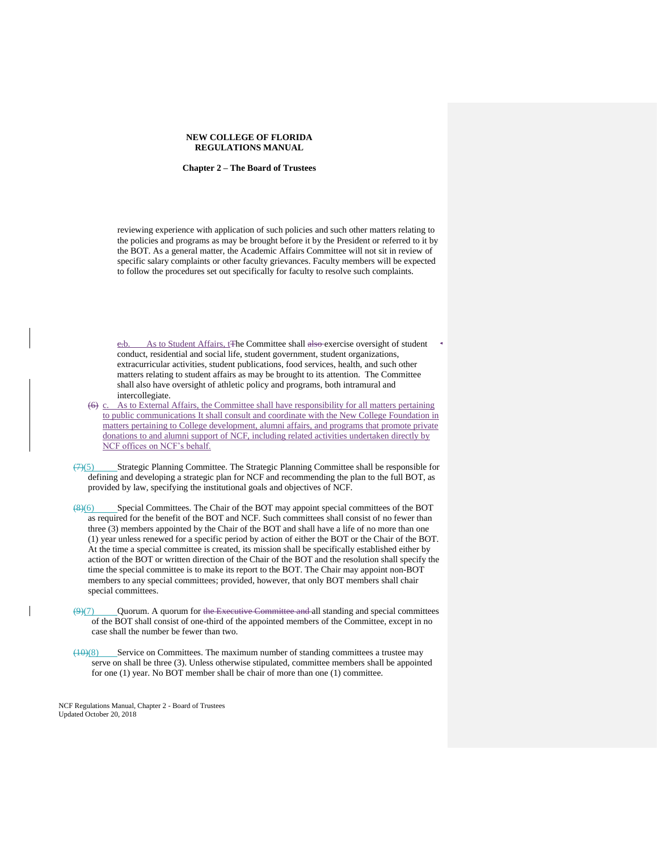#### **Chapter 2 – The Board of Trustees**

reviewing experience with application of such policies and such other matters relating to the policies and programs as may be brought before it by the President or referred to it by the BOT. As a general matter, the Academic Affairs Committee will not sit in review of specific salary complaints or other faculty grievances. Faculty members will be expected to follow the procedures set out specifically for faculty to resolve such complaints.

e.b. As to Student Affairs, t<sub>The</sub> Committee shall also exercise oversight of student conduct, residential and social life, student government, student organizations, extracurricular activities, student publications, food services, health, and such other matters relating to student affairs as may be brought to its attention. The Committee shall also have oversight of athletic policy and programs, both intramural and intercollegiate.

 $(6)$  c. As to External Affairs, the Committee shall have responsibility for all matters pertaining to public communications It shall consult and coordinate with the New College Foundation in matters pertaining to College development, alumni affairs, and programs that promote private donations to and alumni support of NCF, including related activities undertaken directly by NCF offices on NCF's behalf.

(7)(5) Strategic Planning Committee. The Strategic Planning Committee shall be responsible for defining and developing a strategic plan for NCF and recommending the plan to the full BOT, as provided by law, specifying the institutional goals and objectives of NCF.

(8)(6) Special Committees. The Chair of the BOT may appoint special committees of the BOT as required for the benefit of the BOT and NCF. Such committees shall consist of no fewer than three (3) members appointed by the Chair of the BOT and shall have a life of no more than one (1) year unless renewed for a specific period by action of either the BOT or the Chair of the BOT. At the time a special committee is created, its mission shall be specifically established either by action of the BOT or written direction of the Chair of the BOT and the resolution shall specify the time the special committee is to make its report to the BOT. The Chair may appoint non-BOT members to any special committees; provided, however, that only BOT members shall chair special committees.

 $\left(\frac{9}{(7)}\right)$  Quorum. A quorum for the Executive Committee and all standing and special committees of the BOT shall consist of one-third of the appointed members of the Committee, except in no case shall the number be fewer than two.

 $(10)(8)$  Service on Committees. The maximum number of standing committees a trustee may serve on shall be three (3). Unless otherwise stipulated, committee members shall be appointed for one (1) year. No BOT member shall be chair of more than one (1) committee.